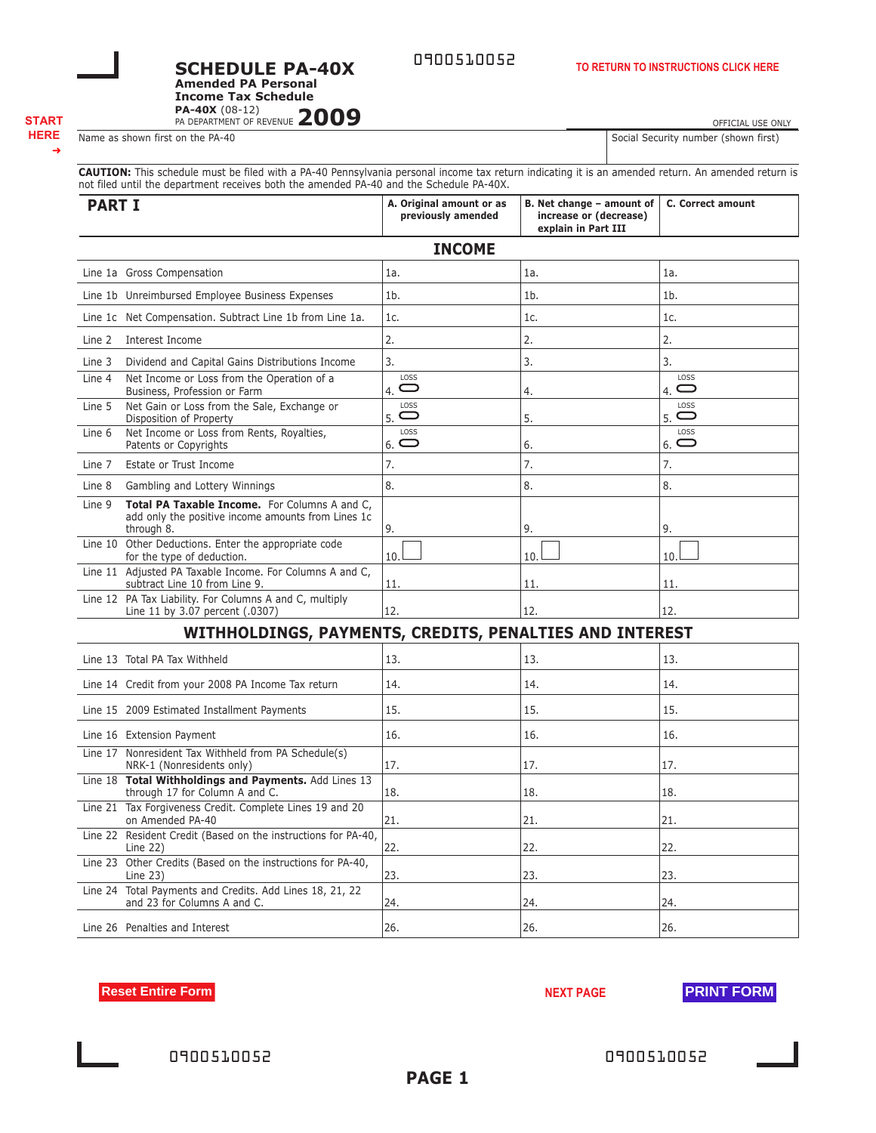**PAGE 1**

**Reset Entire Form NEXT PAGE PRINT FORM** 

# **SCHEDULE PA-40X Amended PA Personal**

PA-40X (08-12)<br>PA DEPARTMENT OF REVENUE 2009 **Income Tax Schedule**

## ➜

**CAUTION:** This schedule must be filed with a PA-40 Pennsylvania personal income tax return indicating it is an amended return. An amended return is not filed until the department receives both the amended PA-40 and the Schedule PA-40X.

0900510052

| <b>PART I</b>                                                                                                               | A. Original amount or as<br>previously amended | B. Net change - amount of<br>increase or (decrease)<br>explain in Part III | <b>C. Correct amount</b> |  |  |  |
|-----------------------------------------------------------------------------------------------------------------------------|------------------------------------------------|----------------------------------------------------------------------------|--------------------------|--|--|--|
| <b>INCOME</b>                                                                                                               |                                                |                                                                            |                          |  |  |  |
| Line 1a Gross Compensation                                                                                                  | 1a.                                            | 1a.                                                                        | 1a.                      |  |  |  |
| Line 1b Unreimbursed Employee Business Expenses                                                                             | 1 <sub>b</sub>                                 | 1 <sub>b</sub>                                                             | 1 <sub>b</sub>           |  |  |  |
| Line 1c Net Compensation. Subtract Line 1b from Line 1a.                                                                    | 1c.                                            | 1c.                                                                        | 1c.                      |  |  |  |
| Interest Income<br>Line 2                                                                                                   | 2.                                             | 2.                                                                         | 2.                       |  |  |  |
| Dividend and Capital Gains Distributions Income<br>Line 3                                                                   | 3.                                             | 3.                                                                         | 3.                       |  |  |  |
| Net Income or Loss from the Operation of a<br>Line 4<br>Business, Profession or Farm                                        | LOSS<br>$\bigcirc$<br>$\overline{4}$ .         | 4.                                                                         | LOSS<br>$4.$ $\Box$      |  |  |  |
| Net Gain or Loss from the Sale, Exchange or<br>Line 5<br>Disposition of Property                                            | LOSS<br>$\bigcirc$<br>5.                       | 5.                                                                         | LOSS<br>$\Box$<br>5.     |  |  |  |
| Net Income or Loss from Rents, Royalties,<br>Line 6<br>Patents or Copyrights                                                | LOSS<br>$_{6.}$ $\bigcirc$                     | 6.                                                                         | LOSS<br>$6.$ $\bigcirc$  |  |  |  |
| Estate or Trust Income<br>Line 7                                                                                            | 7.                                             | 7.                                                                         | 7.                       |  |  |  |
| Gambling and Lottery Winnings<br>Line 8                                                                                     | 8.                                             | 8.                                                                         | 8.                       |  |  |  |
| Total PA Taxable Income. For Columns A and C,<br>Line 9<br>add only the positive income amounts from Lines 1c<br>through 8. | 9.                                             | 9.                                                                         | 9.                       |  |  |  |
| Line 10 Other Deductions. Enter the appropriate code<br>for the type of deduction.                                          | 10.1                                           | 10.                                                                        | 10.                      |  |  |  |
| Line 11 Adjusted PA Taxable Income. For Columns A and C,<br>subtract Line 10 from Line 9.                                   | 11.                                            | 11.                                                                        | 11.                      |  |  |  |
| Line 12 PA Tax Liability. For Columns A and C, multiply<br>Line 11 by 3.07 percent (.0307)                                  | 12.                                            | 12.                                                                        | 12.                      |  |  |  |
| WITHHOLDINGS, PAYMENTS, CREDITS, PENALTIES AND INTEREST                                                                     |                                                |                                                                            |                          |  |  |  |
| Line 13 Total PA Tax Withheld                                                                                               | 13.                                            | 13.                                                                        | 13.                      |  |  |  |
| Line 14 Credit from your 2008 PA Income Tax return                                                                          | 14.                                            | 14.                                                                        | 14.                      |  |  |  |
| Line 15 2009 Estimated Installment Payments                                                                                 | 15.                                            | 15.                                                                        | 15.                      |  |  |  |
| Line 16 Extension Payment                                                                                                   | 16.                                            | 16.                                                                        | 16.                      |  |  |  |
| Line 17 Nonresident Tax Withheld from PA Schedule(s)<br>NRK-1 (Nonresidents only)                                           | 17.                                            | 17.                                                                        | 17.                      |  |  |  |
| Line 18 Total Withholdings and Payments. Add Lines 13<br>through 17 for Column A and C.                                     | 18.                                            | 18.                                                                        | 18.                      |  |  |  |
| Line 21 Tax Forgiveness Credit. Complete Lines 19 and 20<br>on Amended PA-40                                                | 21.                                            | 21.                                                                        | 21.                      |  |  |  |
| Line 22 Resident Credit (Based on the instructions for PA-40,<br>Line $22$ )                                                | 22.                                            | 22.                                                                        | 22.                      |  |  |  |
| Line 23 Other Credits (Based on the instructions for PA-40,<br>Line $23$ )                                                  | 23.                                            | 23.                                                                        | 23.                      |  |  |  |
| Line 24 Total Payments and Credits. Add Lines 18, 21, 22<br>and 23 for Columns A and C.                                     | 24.                                            | 24.                                                                        | 24.                      |  |  |  |

**TO RETURN TO INSTRUCTIONS CLICK HERE**

OFFICIAL USE ONLY Name as shown first on the PA-40 Social Security number (shown first)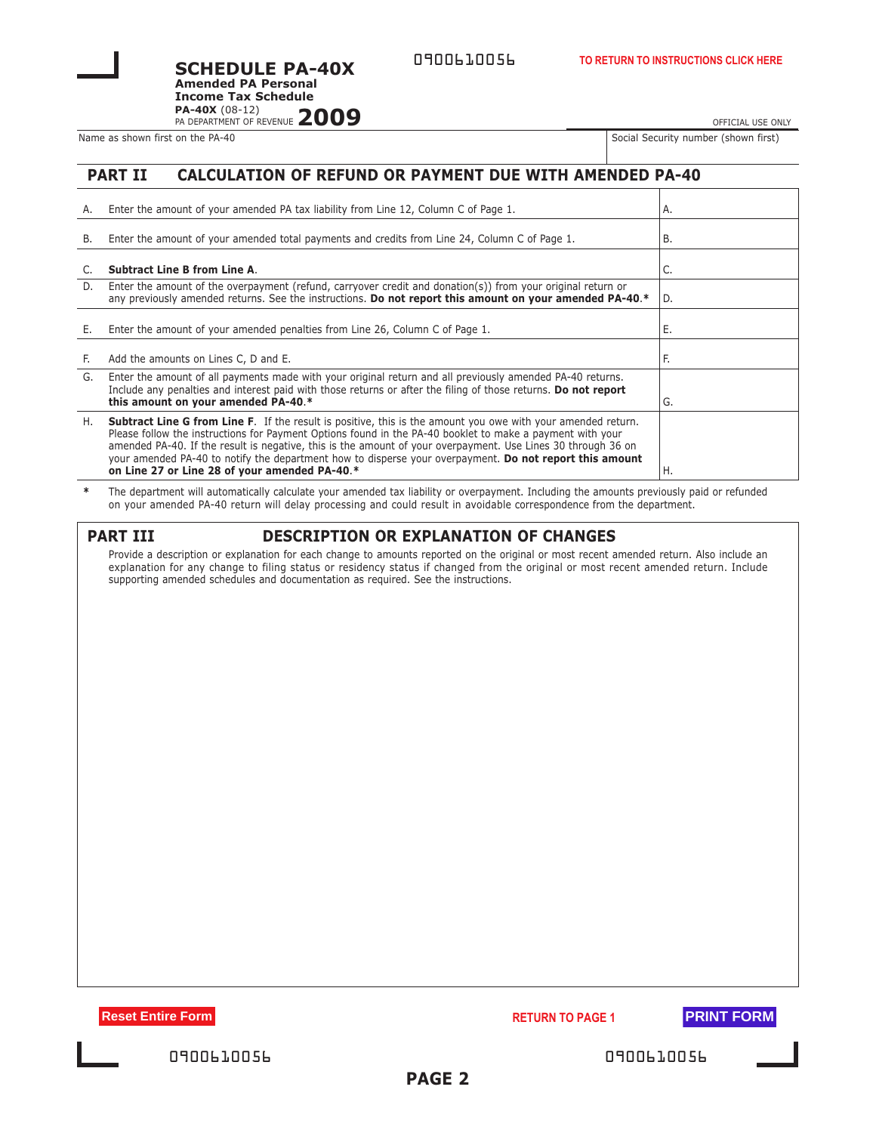0900610056

PA-40X (08-12)<br>PA DEPARTMENT OF REVENUE 2009 **Amended PA Personal Income Tax Schedule**

**SCHEDULE PA-40X**

Name as shown first on the PA-40 Social Security number (Shown First on the PA-40

OFFICIAL USE ONLY

## **PART II CALCULATION OF REFUND OR PAYMENT DUE WITH AMENDED PA-40**

| А. | Enter the amount of your amended PA tax liability from Line 12, Column C of Page 1.                                                                                                                                                                                                                                                                                                                                                                                                                          | Α.  |
|----|--------------------------------------------------------------------------------------------------------------------------------------------------------------------------------------------------------------------------------------------------------------------------------------------------------------------------------------------------------------------------------------------------------------------------------------------------------------------------------------------------------------|-----|
| B. | Enter the amount of your amended total payments and credits from Line 24, Column C of Page 1.                                                                                                                                                                                                                                                                                                                                                                                                                | В.  |
|    | <b>Subtract Line B from Line A.</b>                                                                                                                                                                                                                                                                                                                                                                                                                                                                          | C.  |
| D. | Enter the amount of the overpayment (refund, carryover credit and donation(s)) from your original return or<br>any previously amended returns. See the instructions. Do not report this amount on your amended PA-40.*                                                                                                                                                                                                                                                                                       | ID. |
| Е. | Enter the amount of your amended penalties from Line 26, Column C of Page 1.                                                                                                                                                                                                                                                                                                                                                                                                                                 | Е.  |
| E. | Add the amounts on Lines C, D and E.                                                                                                                                                                                                                                                                                                                                                                                                                                                                         | F.  |
| G. | Enter the amount of all payments made with your original return and all previously amended PA-40 returns.<br>Include any penalties and interest paid with those returns or after the filing of those returns. Do not report<br>this amount on your amended PA-40.*                                                                                                                                                                                                                                           | G.  |
| Η. | <b>Subtract Line G from Line F.</b> If the result is positive, this is the amount you owe with your amended return.<br>Please follow the instructions for Payment Options found in the PA-40 booklet to make a payment with your<br>amended PA-40. If the result is negative, this is the amount of your overpayment. Use Lines 30 through 36 on<br>your amended PA-40 to notify the department how to disperse your overpayment. Do not report this amount<br>on Line 27 or Line 28 of your amended PA-40.* | Η.  |

**\*** The department will automatically calculate your amended tax liability or overpayment. Including the amounts previously paid or refunded on your amended PA-40 return will delay processing and could result in avoidable correspondence from the department.

| A<br>-- |  |
|---------|--|
|---------|--|

## **PART III DESCRIPTION OR EXPLANATION OF CHANGES**

Provide a description or explanation for each change to amounts reported on the original or most recent amended return. Also include an explanation for any change to filing status or residency status if changed from the original or most recent amended return. Include supporting amended schedules and documentation as required. See the instructions.

**Reset Entire Form RETURN TO PAGE 1 PRINT FORM** 



| 0900610056 |  |  |  |
|------------|--|--|--|
|------------|--|--|--|

0900610056 0900610056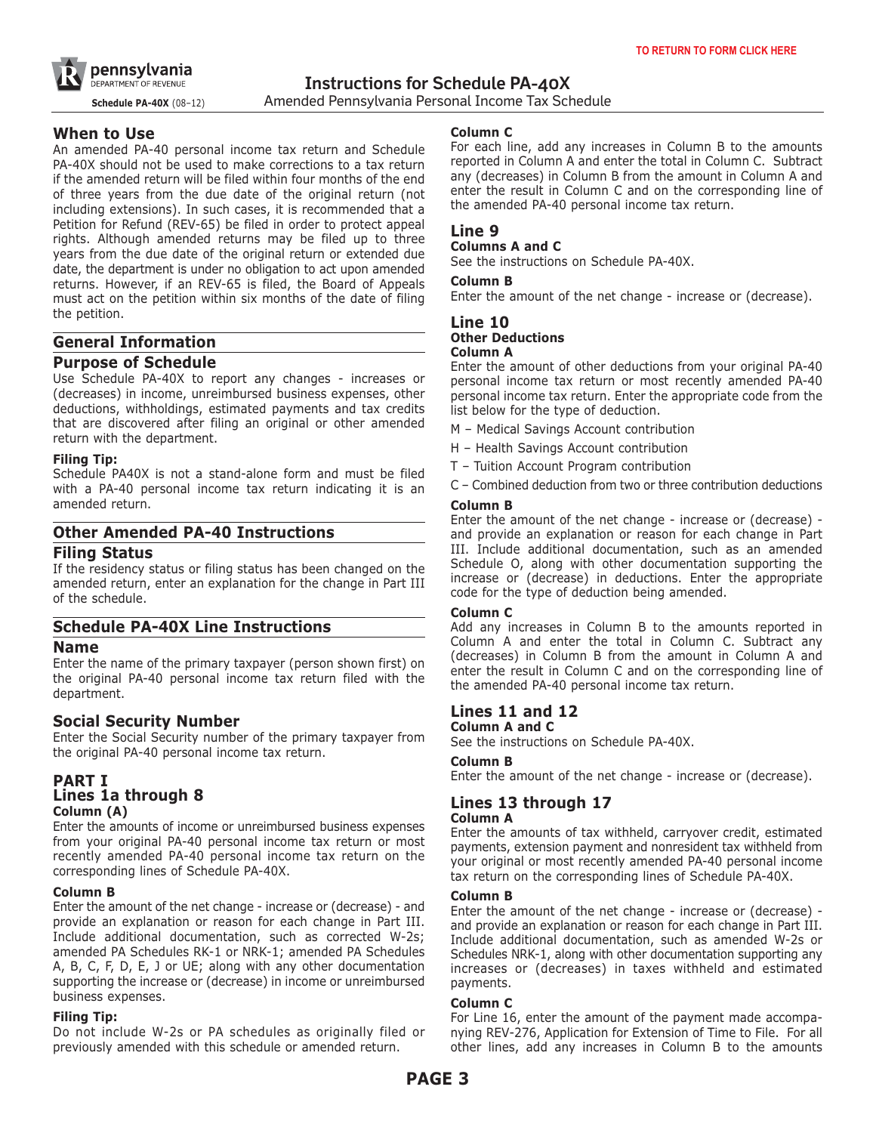

**Schedule PA-40X** (08–12) Amended Pennsylvania Personal Income Tax Schedule

## **When to Use**

An amended PA-40 personal income tax return and Schedule PA-40X should not be used to make corrections to a tax return if the amended return will be filed within four months of the end of three years from the due date of the original return (not including extensions). In such cases, it is recommended that a Petition for Refund (REV-65) be filed in order to protect appeal rights. Although amended returns may be filed up to three years from the due date of the original return or extended due date, the department is under no obligation to act upon amended returns. However, if an REV-65 is filed, the Board of Appeals must act on the petition within six months of the date of filing the petition.

# **General Information**

## **Purpose of Schedule**

Use Schedule PA-40X to report any changes - increases or (decreases) in income, unreimbursed business expenses, other deductions, withholdings, estimated payments and tax credits that are discovered after filing an original or other amended return with the department.

#### **Filing Tip:**

Schedule PA40X is not a stand-alone form and must be filed with a PA-40 personal income tax return indicating it is an amended return.

## **Other Amended PA-40 Instructions**

## **Filing Status**

If the residency status or filing status has been changed on the amended return, enter an explanation for the change in Part III of the schedule.

## **Schedule PA-40X Line Instructions**

## **Name**

Enter the name of the primary taxpayer (person shown first) on the original PA-40 personal income tax return filed with the department.

## **Social Security Number**

Enter the Social Security number of the primary taxpayer from the original PA-40 personal income tax return.

## **PART I Lines 1a through 8 Column (A)**

Enter the amounts of income or unreimbursed business expenses from your original PA-40 personal income tax return or most recently amended PA-40 personal income tax return on the corresponding lines of Schedule PA-40X.

#### **Column B**

Enter the amount of the net change - increase or (decrease) - and provide an explanation or reason for each change in Part III. Include additional documentation, such as corrected W-2s; amended PA Schedules RK-1 or NRK-1; amended PA Schedules A, B, C, F, D, E, J or UE; along with any other documentation supporting the increase or (decrease) in income or unreimbursed business expenses.

#### **Filing Tip:**

Do not include W-2s or PA schedules as originally filed or previously amended with this schedule or amended return.

#### **Column C**

For each line, add any increases in Column B to the amounts reported in Column A and enter the total in Column C. Subtract any (decreases) in Column B from the amount in Column A and enter the result in Column C and on the corresponding line of the amended PA-40 personal income tax return.

## **Line 9**

#### **Columns A and C**

See the instructions on Schedule PA-40X.

#### **Column B**

Enter the amount of the net change - increase or (decrease).

# **Line 10 Other Deductions**

#### **Column A**

Enter the amount of other deductions from your original PA-40 personal income tax return or most recently amended PA-40 personal income tax return. Enter the appropriate code from the list below for the type of deduction.

- M Medical Savings Account contribution
- H Health Savings Account contribution
- T Tuition Account Program contribution
- C Combined deduction from two or three contribution deductions

#### **Column B**

Enter the amount of the net change - increase or (decrease) and provide an explanation or reason for each change in Part III. Include additional documentation, such as an amended Schedule O, along with other documentation supporting the increase or (decrease) in deductions. Enter the appropriate code for the type of deduction being amended.

#### **Column C**

Add any increases in Column B to the amounts reported in Column A and enter the total in Column C. Subtract any (decreases) in Column B from the amount in Column A and enter the result in Column C and on the corresponding line of the amended PA-40 personal income tax return.

# **Lines 11 and 12**

## **Column A and C**

See the instructions on Schedule PA-40X.

#### **Column B**

Enter the amount of the net change - increase or (decrease).

# **Lines 13 through 17**

#### **Column A**

Enter the amounts of tax withheld, carryover credit, estimated payments, extension payment and nonresident tax withheld from your original or most recently amended PA-40 personal income tax return on the corresponding lines of Schedule PA-40X.

#### **Column B**

Enter the amount of the net change - increase or (decrease) and provide an explanation or reason for each change in Part III. Include additional documentation, such as amended W-2s or Schedules NRK-1, along with other documentation supporting any increases or (decreases) in taxes withheld and estimated payments.

#### **Column C**

For Line 16, enter the amount of the payment made accompanying REV-276, Application for Extension of Time to File. For all other lines, add any increases in Column B to the amounts